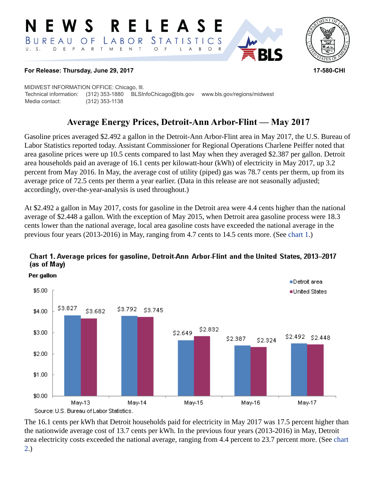#### RELEASE E W S *STATISTICS* BUREAU  $\overline{O}$  F LABOR D E P A R T M E N T  $\bigcirc$  $\overline{F}$  $B$  $\circ$  $\mathsf{L}$  $\overline{A}$



#### **For Release: Thursday, June 29, 2017 17-580-CHI**

MIDWEST INFORMATION OFFICE: Chicago, Ill. Technical information: (312) 353-1880 BLSInfoChicago@bls.gov www.bls.gov/regions/midwest Media contact: (312) 353-1138

# **Average Energy Prices, Detroit-Ann Arbor-Flint — May 2017**

Gasoline prices averaged \$2.492 a gallon in the Detroit-Ann Arbor-Flint area in May 2017, the U.S. Bureau of Labor Statistics reported today. Assistant Commissioner for Regional Operations Charlene Peiffer noted that area gasoline prices were up 10.5 cents compared to last May when they averaged \$2.387 per gallon. Detroit area households paid an average of 16.1 cents per kilowatt-hour (kWh) of electricity in May 2017, up 3.2 percent from May 2016. In May, the average cost of utility (piped) gas was 78.7 cents per therm, up from its average price of 72.5 cents per therm a year earlier. (Data in this release are not seasonally adjusted; accordingly, over-the-year-analysis is used throughout.)

At \$2.492 a gallon in May 2017, costs for gasoline in the Detroit area were 4.4 cents higher than the national average of \$2.448 a gallon. With the exception of May 2015, when Detroit area gasoline process were 18.3 cents lower than the national average, local area gasoline costs have exceeded the national average in the previous four years (2013-2016) in May, ranging from 4.7 cents to 14.5 cents more. (See [chart 1](#page-0-0).)



## <span id="page-0-0"></span>Chart 1. Average prices for gasoline, Detroit-Ann Arbor-Flint and the United States, 2013-2017 (as of May)

The 16.1 cents per kWh that Detroit households paid for electricity in May 2017 was 17.5 percent higher than the nationwide average cost of 13.7 cents per kWh. In the previous four years (2013-2016) in May, Detroit area electricity costs exceeded the national average, ranging from 4.4 percent to 23.7 percent more. (See [chart](#page-1-0) [2.](#page-1-0))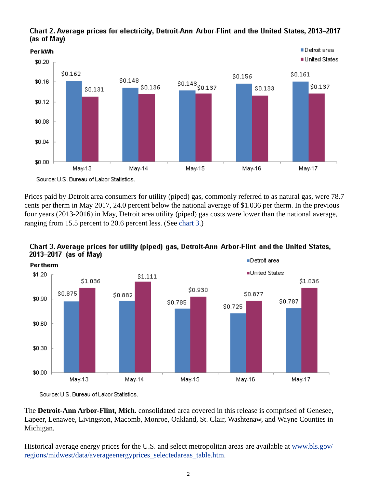

<span id="page-1-0"></span>Chart 2. Average prices for electricity, Detroit-Ann Arbor-Flint and the United States, 2013–2017 (as of May)

Prices paid by Detroit area consumers for utility (piped) gas, commonly referred to as natural gas, were 78.7 cents per therm in May 2017, 24.0 percent below the national average of \$1.036 per therm. In the previous four years (2013-2016) in May, Detroit area utility (piped) gas costs were lower than the national average, ranging from 15.5 percent to 20.6 percent less. (See [chart 3.](#page-1-1))



<span id="page-1-1"></span>Chart 3. Average prices for utility (piped) gas, Detroit-Ann Arbor-Flint and the United States, 2013-2017 (as of May) ■Detroit area

The **Detroit-Ann Arbor-Flint, Mich.** consolidated area covered in this release is comprised of Genesee, Lapeer, Lenawee, Livingston, Macomb, Monroe, Oakland, St. Clair, Washtenaw, and Wayne Counties in Michigan.

Historical average energy prices for the U.S. and select metropolitan areas are available at [www.bls.gov/](https://www.bls.gov/regions/midwest/data/averageenergyprices_selectedareas_table.htm) [regions/midwest/data/averageenergyprices\\_selectedareas\\_table.htm.](https://www.bls.gov/regions/midwest/data/averageenergyprices_selectedareas_table.htm)

Source: U.S. Bureau of Labor Statistics.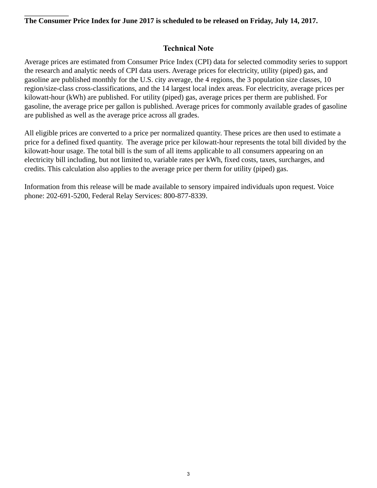#### **The Consumer Price Index for June 2017 is scheduled to be released on Friday, July 14, 2017.**

## **Technical Note**

Average prices are estimated from Consumer Price Index (CPI) data for selected commodity series to support the research and analytic needs of CPI data users. Average prices for electricity, utility (piped) gas, and gasoline are published monthly for the U.S. city average, the 4 regions, the 3 population size classes, 10 region/size-class cross-classifications, and the 14 largest local index areas. For electricity, average prices per kilowatt-hour (kWh) are published. For utility (piped) gas, average prices per therm are published. For gasoline, the average price per gallon is published. Average prices for commonly available grades of gasoline are published as well as the average price across all grades.

All eligible prices are converted to a price per normalized quantity. These prices are then used to estimate a price for a defined fixed quantity. The average price per kilowatt-hour represents the total bill divided by the kilowatt-hour usage. The total bill is the sum of all items applicable to all consumers appearing on an electricity bill including, but not limited to, variable rates per kWh, fixed costs, taxes, surcharges, and credits. This calculation also applies to the average price per therm for utility (piped) gas.

Information from this release will be made available to sensory impaired individuals upon request. Voice phone: 202-691-5200, Federal Relay Services: 800-877-8339.